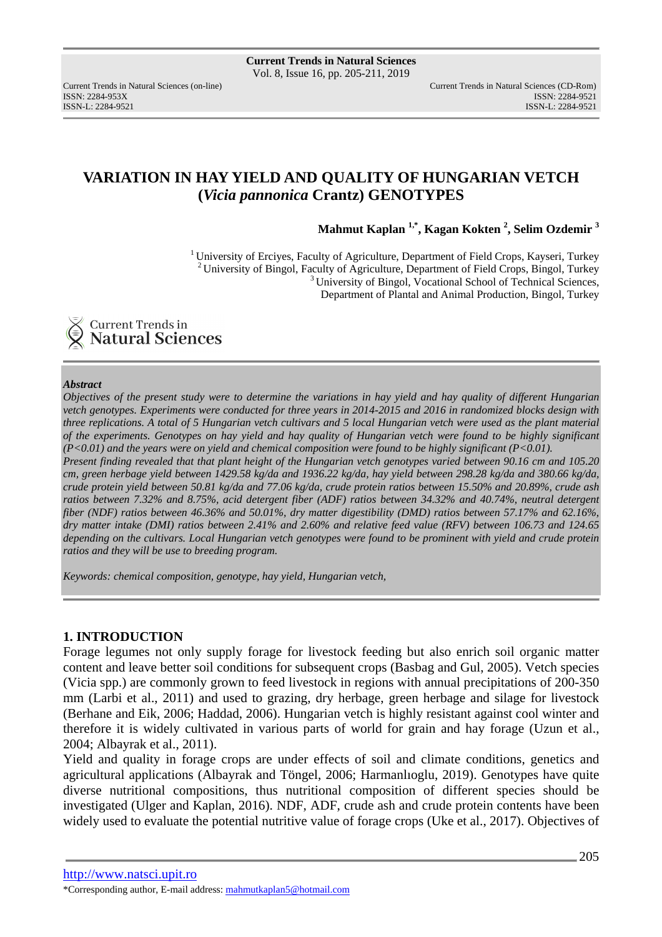ISSN: 2284-953XISSN: 2284-9521

# **VARIATION IN HAY YIELD AND QUALITY OF HUNGARIAN VETCH (***Vicia pannonica* **Crantz) GENOTYPES**

**Mahmut Kaplan 1,\*, Kagan Kokten <sup>2</sup> , Selim Ozdemir <sup>3</sup>**

<sup>1</sup> University of Erciyes, Faculty of Agriculture, Department of Field Crops, Kayseri, Turkey  $2$ University of Bingol, Faculty of Agriculture, Department of Field Crops, Bingol, Turkey  $3$ University of Bingol, Vocational School of Technical Sciences, Department of Plantal and Animal Production, Bingol, Turkey



### *Abstract*

*Objectives of the present study were to determine the variations in hay yield and hay quality of different Hungarian vetch genotypes. Experiments were conducted for three years in 2014-2015 and 2016 in randomized blocks design with three replications. A total of 5 Hungarian vetch cultivars and 5 local Hungarian vetch were used as the plant material of the experiments. Genotypes on hay yield and hay quality of Hungarian vetch were found to be highly significant (P<0.01) and the years were on yield and chemical composition were found to be highly significant (P<0.01). Present finding revealed that that plant height of the Hungarian vetch genotypes varied between 90.16 cm and 105.20 cm, green herbage yield between 1429.58 kg/da and 1936.22 kg/da, hay yield between 298.28 kg/da and 380.66 kg/da, crude protein yield between 50.81 kg/da and 77.06 kg/da, crude protein ratios between 15.50% and 20.89%, crude ash*  ratios between 7.32% and 8.75%, acid detergent fiber (ADF) ratios between 34.32% and 40.74%, neutral detergent *fiber (NDF) ratios between 46.36% and 50.01%, dry matter digestibility (DMD) ratios between 57.17% and 62.16%, dry matter intake (DMI) ratios between 2.41% and 2.60% and relative feed value (RFV) between 106.73 and 124.65 depending on the cultivars. Local Hungarian vetch genotypes were found to be prominent with yield and crude protein ratios and they will be use to breeding program.* 

*Keywords: chemical composition, genotype, hay yield, Hungarian vetch,* 

## **1. INTRODUCTION**

Forage legumes not only supply forage for livestock feeding but also enrich soil organic matter content and leave better soil conditions for subsequent crops (Basbag and Gul, 2005). Vetch species (Vicia spp.) are commonly grown to feed livestock in regions with annual precipitations of 200-350 mm (Larbi et al., 2011) and used to grazing, dry herbage, green herbage and silage for livestock (Berhane and Eik, 2006; Haddad, 2006). Hungarian vetch is highly resistant against cool winter and therefore it is widely cultivated in various parts of world for grain and hay forage (Uzun et al., 2004; Albayrak et al., 2011).

Yield and quality in forage crops are under effects of soil and climate conditions, genetics and agricultural applications (Albayrak and Töngel, 2006; Harmanlıoglu, 2019). Genotypes have quite diverse nutritional compositions, thus nutritional composition of different species should be investigated (Ulger and Kaplan, 2016). NDF, ADF, crude ash and crude protein contents have been widely used to evaluate the potential nutritive value of forage crops (Uke et al., 2017). Objectives of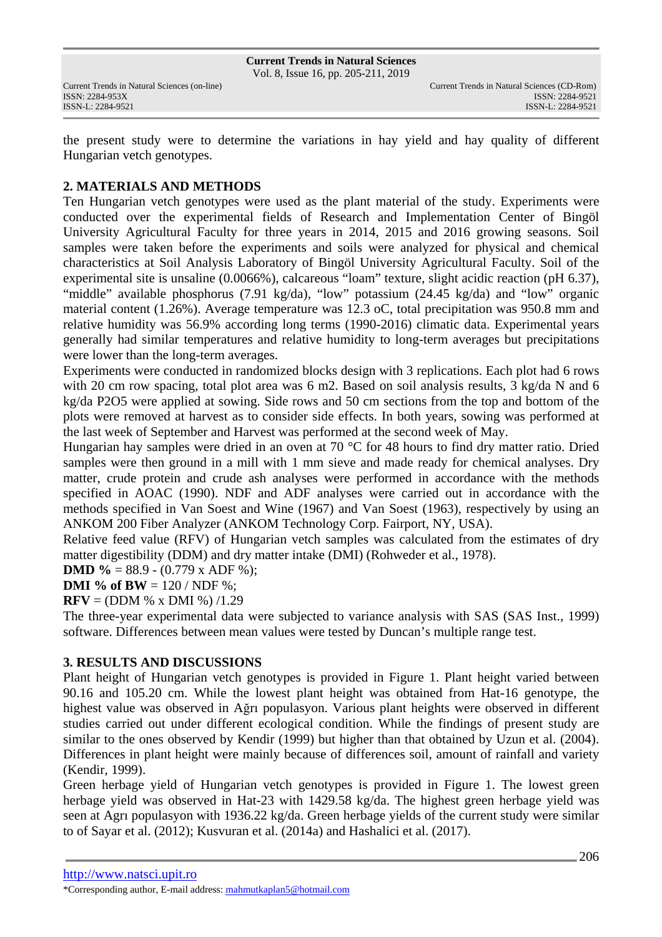Vol. 8, Issue 16, pp. 205-211, 2019

the present study were to determine the variations in hay yield and hay quality of different Hungarian vetch genotypes.

# **2. MATERIALS AND METHODS**

Ten Hungarian vetch genotypes were used as the plant material of the study. Experiments were conducted over the experimental fields of Research and Implementation Center of Bingöl University Agricultural Faculty for three years in 2014, 2015 and 2016 growing seasons. Soil samples were taken before the experiments and soils were analyzed for physical and chemical characteristics at Soil Analysis Laboratory of Bingöl University Agricultural Faculty. Soil of the experimental site is unsaline (0.0066%), calcareous "loam" texture, slight acidic reaction (pH 6.37), "middle" available phosphorus (7.91 kg/da), "low" potassium (24.45 kg/da) and "low" organic material content (1.26%). Average temperature was 12.3 oC, total precipitation was 950.8 mm and relative humidity was 56.9% according long terms (1990-2016) climatic data. Experimental years generally had similar temperatures and relative humidity to long-term averages but precipitations were lower than the long-term averages.

Experiments were conducted in randomized blocks design with 3 replications. Each plot had 6 rows with 20 cm row spacing, total plot area was 6 m2. Based on soil analysis results, 3 kg/da N and 6 kg/da P2O5 were applied at sowing. Side rows and 50 cm sections from the top and bottom of the plots were removed at harvest as to consider side effects. In both years, sowing was performed at the last week of September and Harvest was performed at the second week of May.

Hungarian hay samples were dried in an oven at 70 °C for 48 hours to find dry matter ratio. Dried samples were then ground in a mill with 1 mm sieve and made ready for chemical analyses. Dry matter, crude protein and crude ash analyses were performed in accordance with the methods specified in AOAC (1990). NDF and ADF analyses were carried out in accordance with the methods specified in Van Soest and Wine (1967) and Van Soest (1963), respectively by using an ANKOM 200 Fiber Analyzer (ANKOM Technology Corp. Fairport, NY, USA).

Relative feed value (RFV) of Hungarian vetch samples was calculated from the estimates of dry matter digestibility (DDM) and dry matter intake (DMI) (Rohweder et al., 1978).

**DMD** % = 88.9 - (0.779 x ADF %);

**DMI** % of **BW** =  $120 / NDF$  %;

**RFV** = (DDM % x DMI %)  $/1.29$ 

The three-year experimental data were subjected to variance analysis with SAS (SAS Inst., 1999) software. Differences between mean values were tested by Duncan's multiple range test.

## **3. RESULTS AND DISCUSSIONS**

Plant height of Hungarian vetch genotypes is provided in Figure 1. Plant height varied between 90.16 and 105.20 cm. While the lowest plant height was obtained from Hat-16 genotype, the highest value was observed in Ağrı populasyon. Various plant heights were observed in different studies carried out under different ecological condition. While the findings of present study are similar to the ones observed by Kendir (1999) but higher than that obtained by Uzun et al. (2004). Differences in plant height were mainly because of differences soil, amount of rainfall and variety (Kendir, 1999).

Green herbage yield of Hungarian vetch genotypes is provided in Figure 1. The lowest green herbage yield was observed in Hat-23 with 1429.58 kg/da. The highest green herbage yield was seen at Agrı populasyon with 1936.22 kg/da. Green herbage yields of the current study were similar to of Sayar et al. (2012); Kusvuran et al. (2014a) and Hashalici et al. (2017).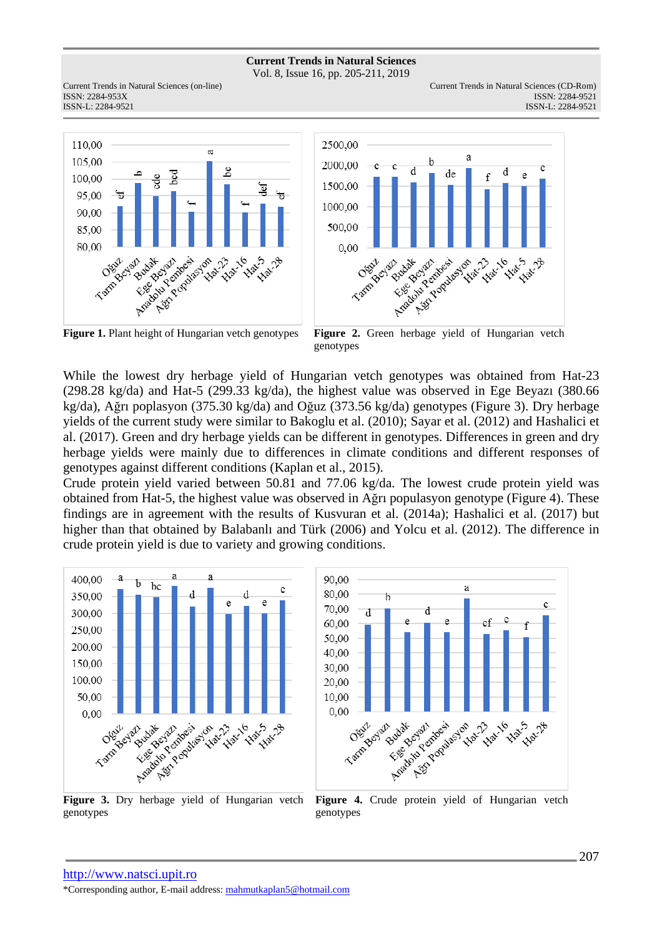Vol. 8, Issue 16, pp. 205-211, 2019

Current Trends in Natural Sciences (on-line) Current Trends in Natural Sciences (CD-Rom) ISSN: 2284-953XISSN: 2284-9521





ISSN-L: 2284-9521



While the lowest dry herbage yield of Hungarian vetch genotypes was obtained from Hat-23 (298.28 kg/da) and Hat-5 (299.33 kg/da), the highest value was observed in Ege Beyazı (380.66 kg/da), Ağrı poplasyon (375.30 kg/da) and Oğuz (373.56 kg/da) genotypes (Figure 3). Dry herbage yields of the current study were similar to Bakoglu et al. (2010); Sayar et al. (2012) and Hashalici et al. (2017). Green and dry herbage yields can be different in genotypes. Differences in green and dry herbage yields were mainly due to differences in climate conditions and different responses of genotypes against different conditions (Kaplan et al., 2015).

Crude protein yield varied between 50.81 and 77.06 kg/da. The lowest crude protein yield was obtained from Hat-5, the highest value was observed in Ağrı populasyon genotype (Figure 4). These findings are in agreement with the results of Kusvuran et al. (2014a); Hashalici et al. (2017) but higher than that obtained by Balabanlı and Türk (2006) and Yolcu et al. (2012). The difference in crude protein yield is due to variety and growing conditions.



**Figure 3.** Dry herbage yield of Hungarian vetch genotypes



Figure 4. Crude protein yield of Hungarian vetch genotypes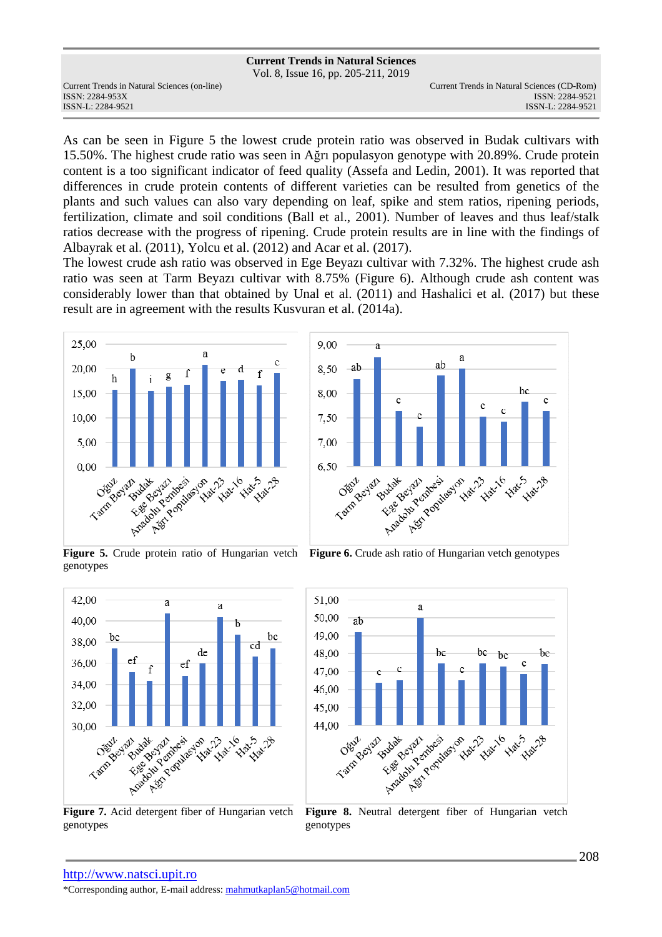|                                              | <b>Current Trends in Natural Sciences</b> |                                             |
|----------------------------------------------|-------------------------------------------|---------------------------------------------|
|                                              | Vol. 8, Issue 16, pp. 205-211, 2019       |                                             |
| Current Trends in Natural Sciences (on-line) |                                           | Current Trends in Natural Sciences (CD-Rom) |
| ISSN: 2284-953X                              |                                           | ISSN: 2284-9521                             |
| ISSN-L: 2284-9521                            |                                           | ISSN-L: 2284-9521                           |
|                                              |                                           |                                             |

As can be seen in Figure 5 the lowest crude protein ratio was observed in Budak cultivars with 15.50%. The highest crude ratio was seen in Ağrı populasyon genotype with 20.89%. Crude protein content is a too significant indicator of feed quality (Assefa and Ledin, 2001). It was reported that differences in crude protein contents of different varieties can be resulted from genetics of the plants and such values can also vary depending on leaf, spike and stem ratios, ripening periods, fertilization, climate and soil conditions (Ball et al., 2001). Number of leaves and thus leaf/stalk ratios decrease with the progress of ripening. Crude protein results are in line with the findings of Albayrak et al. (2011), Yolcu et al. (2012) and Acar et al. (2017).

The lowest crude ash ratio was observed in Ege Beyazı cultivar with 7.32%. The highest crude ash ratio was seen at Tarm Beyazı cultivar with 8.75% (Figure 6). Although crude ash content was considerably lower than that obtained by Unal et al. (2011) and Hashalici et al. (2017) but these result are in agreement with the results Kusvuran et al. (2014a).





**Figure 5.** Crude protein ratio of Hungarian vetch genotypes



**Figure 7.** Acid detergent fiber of Hungarian vetch genotypes

**Figure 6.** Crude ash ratio of Hungarian vetch genotypes



**Figure 8.** Neutral detergent fiber of Hungarian vetch genotypes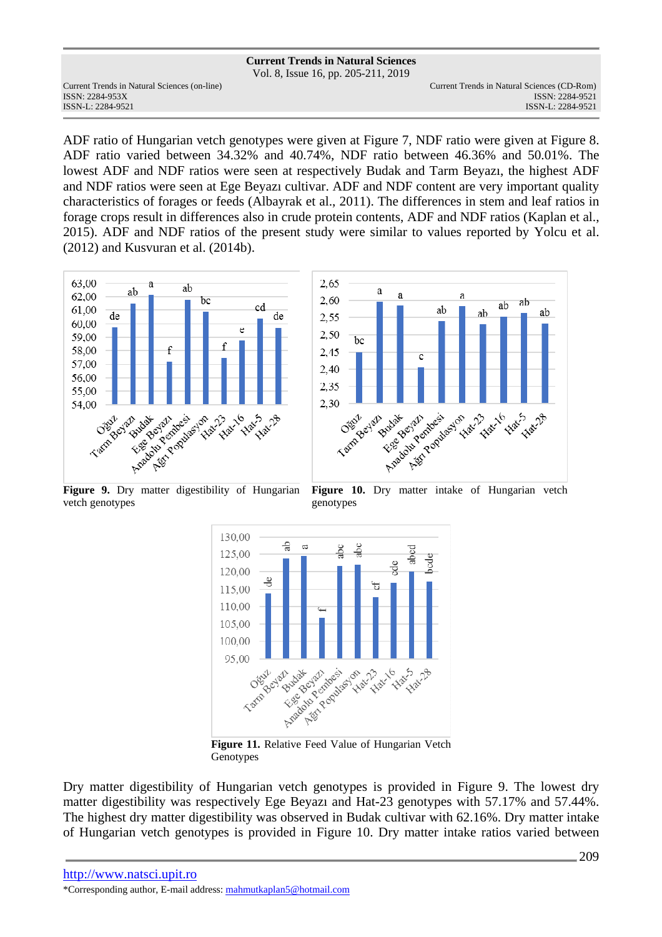Vol. 8, Issue 16, pp. 205-211, 2019

ISSN: 2284-953XISSN: 2284-9521

Current Trends in Natural Sciences (on-line) Current Trends in Natural Sciences (CD-Rom) ISSN-L: 2284-9521

ADF ratio of Hungarian vetch genotypes were given at Figure 7, NDF ratio were given at Figure 8. ADF ratio varied between 34.32% and 40.74%, NDF ratio between 46.36% and 50.01%. The lowest ADF and NDF ratios were seen at respectively Budak and Tarm Beyazı, the highest ADF and NDF ratios were seen at Ege Beyazı cultivar. ADF and NDF content are very important quality characteristics of forages or feeds (Albayrak et al., 2011). The differences in stem and leaf ratios in forage crops result in differences also in crude protein contents, ADF and NDF ratios (Kaplan et al., 2015). ADF and NDF ratios of the present study were similar to values reported by Yolcu et al. (2012) and Kusvuran et al. (2014b).





Figure 9. Dry matter digestibility of Hungarian vetch genotypes





**Figure 11.** Relative Feed Value of Hungarian Vetch Genotypes

Dry matter digestibility of Hungarian vetch genotypes is provided in Figure 9. The lowest dry matter digestibility was respectively Ege Beyazı and Hat-23 genotypes with 57.17% and 57.44%. The highest dry matter digestibility was observed in Budak cultivar with 62.16%. Dry matter intake of Hungarian vetch genotypes is provided in Figure 10. Dry matter intake ratios varied between

http://www.natsci.upit.ro \*Corresponding author, E-mail address: mahmutkaplan5@hotmail.com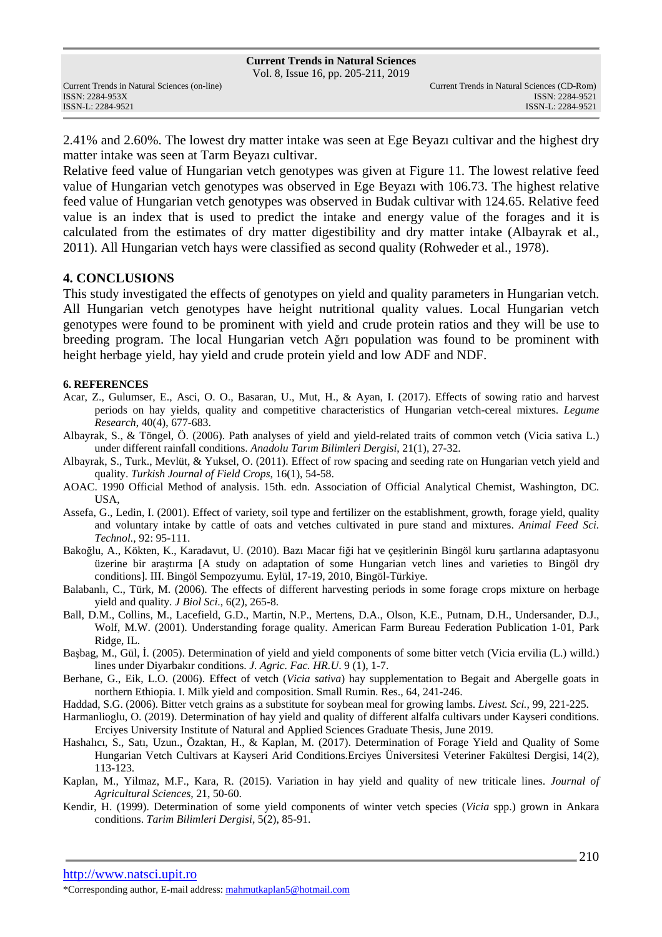2.41% and 2.60%. The lowest dry matter intake was seen at Ege Beyazı cultivar and the highest dry matter intake was seen at Tarm Beyazı cultivar.

Relative feed value of Hungarian vetch genotypes was given at Figure 11. The lowest relative feed value of Hungarian vetch genotypes was observed in Ege Beyazı with 106.73. The highest relative feed value of Hungarian vetch genotypes was observed in Budak cultivar with 124.65. Relative feed value is an index that is used to predict the intake and energy value of the forages and it is calculated from the estimates of dry matter digestibility and dry matter intake (Albayrak et al., 2011). All Hungarian vetch hays were classified as second quality (Rohweder et al., 1978).

### **4. CONCLUSIONS**

This study investigated the effects of genotypes on yield and quality parameters in Hungarian vetch. All Hungarian vetch genotypes have height nutritional quality values. Local Hungarian vetch genotypes were found to be prominent with yield and crude protein ratios and they will be use to breeding program. The local Hungarian vetch Ağrı population was found to be prominent with height herbage yield, hay yield and crude protein yield and low ADF and NDF.

### **6. REFERENCES**

- Acar, Z., Gulumser, E., Asci, O. O., Basaran, U., Mut, H., & Ayan, I. (2017). Effects of sowing ratio and harvest periods on hay yields, quality and competitive characteristics of Hungarian vetch-cereal mixtures. *Legume Research*, 40(4), 677-683.
- Albayrak, S., & Töngel, Ö. (2006). Path analyses of yield and yield-related traits of common vetch (Vicia sativa L.) under different rainfall conditions. *Anadolu Tarım Bilimleri Dergisi*, 21(1), 27-32.
- Albayrak, S., Turk., Mevlüt, & Yuksel, O. (2011). Effect of row spacing and seeding rate on Hungarian vetch yield and quality. *Turkish Journal of Field Crops*, 16(1), 54-58.
- AOAC. 1990 Official Method of analysis. 15th. edn. Association of Official Analytical Chemist, Washington, DC. USA,
- Assefa, G., Ledin, I. (2001). Effect of variety, soil type and fertilizer on the establishment, growth, forage yield, quality and voluntary intake by cattle of oats and vetches cultivated in pure stand and mixtures. *Animal Feed Sci. Technol.,* 92: 95-111.
- Bakoğlu, A., Kökten, K., Karadavut, U. (2010). Bazı Macar fiği hat ve çeşitlerinin Bingöl kuru şartlarına adaptasyonu üzerine bir araştırma [A study on adaptation of some Hungarian vetch lines and varieties to Bingöl dry conditions]. III. Bingöl Sempozyumu. Eylül, 17-19, 2010, Bingöl-Türkiye.
- Balabanlı, C., Türk, M. (2006). The effects of different harvesting periods in some forage crops mixture on herbage yield and quality. *J Biol Sci*., 6(2), 265-8.
- Ball, D.M., Collins, M., Lacefield, G.D., Martin, N.P., Mertens, D.A., Olson, K.E., Putnam, D.H., Undersander, D.J., Wolf, M.W. (2001). Understanding forage quality. American Farm Bureau Federation Publication 1-01, Park Ridge, IL.
- Başbag, M., Gül, İ. (2005). Determination of yield and yield components of some bitter vetch (Vicia ervilia (L.) willd.) lines under Diyarbakır conditions. *J. Agric. Fac. HR.U*. 9 (1), 1-7.
- Berhane, G., Eik, L.O. (2006). Effect of vetch (*Vicia sativa*) hay supplementation to Begait and Abergelle goats in northern Ethiopia. I. Milk yield and composition. Small Rumin. Res., 64, 241-246.
- Haddad, S.G. (2006). Bitter vetch grains as a substitute for soybean meal for growing lambs. *Livest. Sci.*, 99, 221-225.
- Harmanlioglu, O. (2019). Determination of hay yield and quality of different alfalfa cultivars under Kayseri conditions. Erciyes University Institute of Natural and Applied Sciences Graduate Thesis, June 2019.
- Hashalıcı, S., Satı, Uzun., Özaktan, H., & Kaplan, M. (2017). Determination of Forage Yield and Quality of Some Hungarian Vetch Cultivars at Kayseri Arid Conditions.Erciyes Üniversitesi Veteriner Fakültesi Dergisi, 14(2), 113-123.
- Kaplan, M., Yilmaz, M.F., Kara, R. (2015). Variation in hay yield and quality of new triticale lines. *Journal of Agricultural Sciences,* 21, 50-60.
- Kendir, H. (1999). Determination of some yield components of winter vetch species (*Vicia* spp.) grown in Ankara conditions. *Tarim Bilimleri Dergisi,* 5(2), 85-91.

http://www.natsci.upit.ro